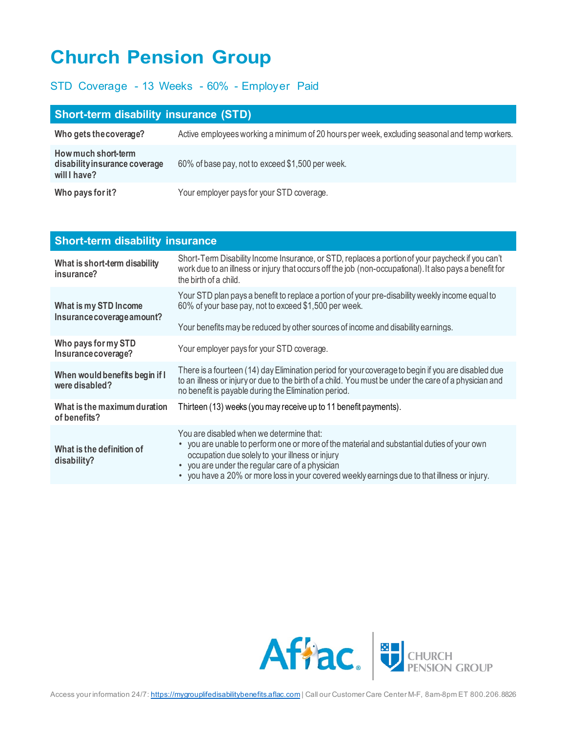## **Church Pension Group**

## STD Coverage - 13 Weeks - 60% - Employer Paid

| <b>Short-term disability insurance (STD)</b>                         |                                                                                               |  |
|----------------------------------------------------------------------|-----------------------------------------------------------------------------------------------|--|
| Who gets the coverage?                                               | Active employees working a minimum of 20 hours per week, excluding seasonal and temp workers. |  |
| How much short-term<br>disability insurance coverage<br>will I have? | 60% of base pay, not to exceed \$1,500 per week.                                              |  |
| Who pays for it?                                                     | Your employer pays for your STD coverage.                                                     |  |

| <b>Short-term disability insurance</b>              |                                                                                                                                                                                                                                                                                                                                                         |
|-----------------------------------------------------|---------------------------------------------------------------------------------------------------------------------------------------------------------------------------------------------------------------------------------------------------------------------------------------------------------------------------------------------------------|
| What is short-term disability<br>insurance?         | Short-Term Disability Income Insurance, or STD, replaces a portion of your paycheck if you can't<br>work due to an illness or injury that occurs off the job (non-occupational). It also pays a benefit for<br>the birth of a child.                                                                                                                    |
| What is my STD Income<br>Insurance coverage amount? | Your STD plan pays a benefit to replace a portion of your pre-disability weekly income equal to<br>60% of your base pay, not to exceed \$1,500 per week.<br>Your benefits may be reduced by other sources of income and disability earnings.                                                                                                            |
| Who pays for my STD<br>Insurance coverage?          | Your employer pays for your STD coverage.                                                                                                                                                                                                                                                                                                               |
| When would benefits begin if I<br>were disabled?    | There is a fourteen (14) day Elimination period for your coverage to begin if you are disabled due<br>to an illness or injury or due to the birth of a child. You must be under the care of a physician and<br>no benefit is payable during the Elimination period.                                                                                     |
| What is the maximum duration<br>of benefits?        | Thirteen (13) weeks (you may receive up to 11 benefit payments).                                                                                                                                                                                                                                                                                        |
| What is the definition of<br>disability?            | You are disabled when we determine that:<br>• you are unable to perform one or more of the material and substantial duties of your own<br>occupation due solely to your illness or injury<br>you are under the regular care of a physician<br>$\bullet$<br>• you have a 20% or more loss in your covered weekly earnings due to that illness or injury. |